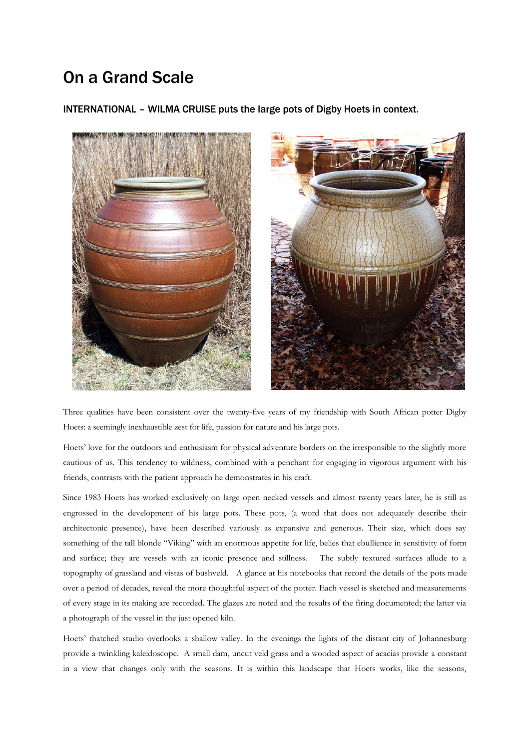# On a Grand Scale

INTERNATIONAL – WILMA CRUISE puts the large pots of Digby Hoets in context.



Three qualities have been consistent over the twenty-five years of my friendship with South African potter Digby Hoets: a seemingly inexhaustible zest for life, passion for nature and his large pots.

Hoets' love for the outdoors and enthusiasm for physical adventure borders on the irresponsible to the slightly more cautious of us. This tendency to wildness, combined with a penchant for engaging in vigorous argument with his friends, contrasts with the patient approach he demonstrates in his craft.

Since 1983 Hoets has worked exclusively on large open necked vessels and almost twenty years later, he is still as engrossed in the development of his large pots. These pots, (a word that does not adequately describe their architectonic presence), have been described variously as expansive and generous. Their size, which does say something of the tall blonde "Viking" with an enormous appetite for life, belies that ebullience in sensitivity of form and surface; they are vessels with an iconic presence and stillness. The subtly textured surfaces allude to a topography of grassland and vistas of bushveld. A glance at his notebooks that record the details of the pots made over a period of decades, reveal the more thoughtful aspect of the potter. Each vessel is sketched and measurements of every stage in its making are recorded. The glazes are noted and the results of the firing documented; the latter via a photograph of the vessel in the just opened kiln.

Hoets' thatched studio overlooks a shallow valley. In the evenings the lights of the distant city of Johannesburg provide a twinkling kaleidoscope. A small dam, uncut veld grass and a wooded aspect of acacias provide a constant in a view that changes only with the seasons. It is within this landscape that Hoets works, like the seasons,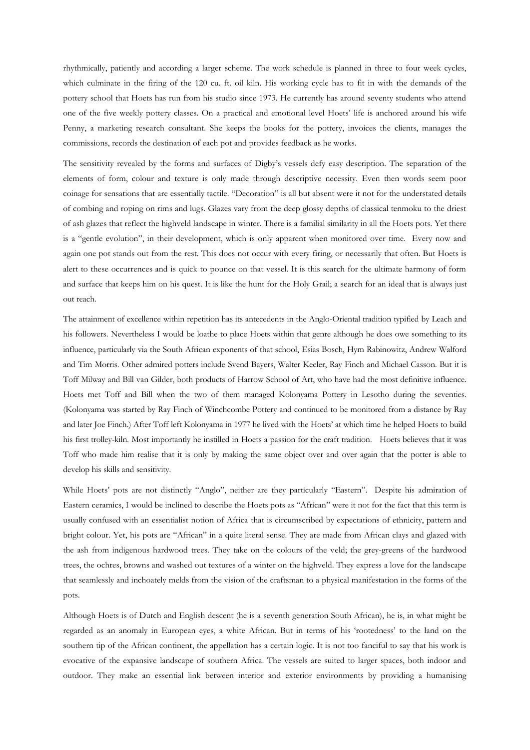rhythmically, patiently and according a larger scheme. The work schedule is planned in three to four week cycles, which culminate in the firing of the 120 cu. ft. oil kiln. His working cycle has to fit in with the demands of the pottery school that Hoets has run from his studio since 1973. He currently has around seventy students who attend one of the five weekly pottery classes. On a practical and emotional level Hoets' life is anchored around his wife Penny, a marketing research consultant. She keeps the books for the pottery, invoices the clients, manages the commissions, records the destination of each pot and provides feedback as he works*.*

The sensitivity revealed by the forms and surfaces of Digby's vessels defy easy description. The separation of the elements of form, colour and texture is only made through descriptive necessity. Even then words seem poor coinage for sensations that are essentially tactile. "Decoration" is all but absent were it not for the understated details of combing and roping on rims and lugs. Glazes vary from the deep glossy depths of classical tenmoku to the driest of ash glazes that reflect the highveld landscape in winter. There is a familial similarity in all the Hoets pots. Yet there is a "gentle evolution", in their development, which is only apparent when monitored over time. Every now and again one pot stands out from the rest. This does not occur with every firing, or necessarily that often. But Hoets is alert to these occurrences and is quick to pounce on that vessel. It is this search for the ultimate harmony of form and surface that keeps him on his quest. It is like the hunt for the Holy Grail; a search for an ideal that is always just out reach.

The attainment of excellence within repetition has its antecedents in the Anglo-Oriental tradition typified by Leach and his followers. Nevertheless I would be loathe to place Hoets within that genre although he does owe something to its influence, particularly via the South African exponents of that school, Esias Bosch, Hym Rabinowitz, Andrew Walford and Tim Morris. Other admired potters include Svend Bayers, Walter Keeler, Ray Finch and Michael Casson. But it is Toff Milway and Bill van Gilder, both products of Harrow School of Art, who have had the most definitive influence. Hoets met Toff and Bill when the two of them managed Kolonyama Pottery in Lesotho during the seventies. (Kolonyama was started by Ray Finch of Winchcombe Pottery and continued to be monitored from a distance by Ray and later Joe Finch.) After Toff left Kolonyama in 1977 he lived with the Hoets' at which time he helped Hoets to build his first trolley-kiln. Most importantly he instilled in Hoets a passion for the craft tradition. Hoets believes that it was Toff who made him realise that it is only by making the same object over and over again that the potter is able to develop his skills and sensitivity.

While Hoets' pots are not distinctly "Anglo", neither are they particularly "Eastern". Despite his admiration of Eastern ceramics, I would be inclined to describe the Hoets pots as "African" were it not for the fact that this term is usually confused with an essentialist notion of Africa that is circumscribed by expectations of ethnicity, pattern and bright colour. Yet, his pots are "African" in a quite literal sense. They are made from African clays and glazed with the ash from indigenous hardwood trees. They take on the colours of the veld; the grey-greens of the hardwood trees, the ochres, browns and washed out textures of a winter on the highveld. They express a love for the landscape that seamlessly and inchoately melds from the vision of the craftsman to a physical manifestation in the forms of the pots.

Although Hoets is of Dutch and English descent (he is a seventh generation South African), he is, in what might be regarded as an anomaly in European eyes, a white African. But in terms of his 'rootedness' to the land on the southern tip of the African continent, the appellation has a certain logic. It is not too fanciful to say that his work is evocative of the expansive landscape of southern Africa. The vessels are suited to larger spaces, both indoor and outdoor. They make an essential link between interior and exterior environments by providing a humanising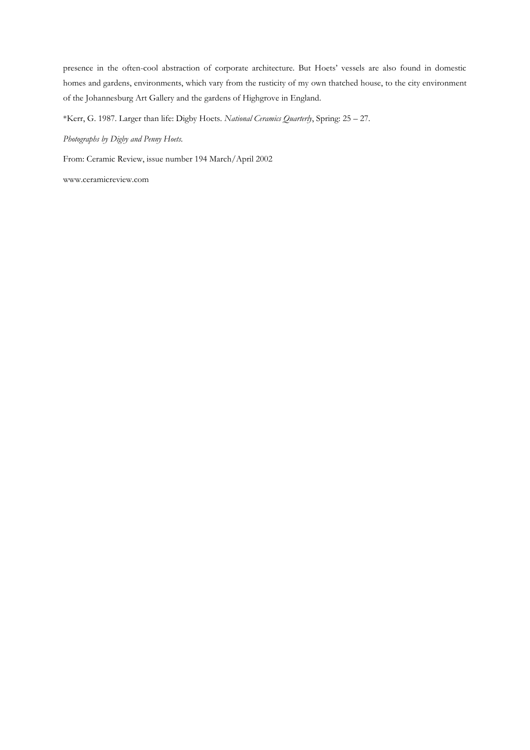presence in the often-cool abstraction of corporate architecture. But Hoets' vessels are also found in domestic homes and gardens, environments, which vary from the rusticity of my own thatched house, to the city environment of the Johannesburg Art Gallery and the gardens of Highgrove in England.

\*Kerr, G. 1987. Larger than life: Digby Hoets. *National Ceramics Quarterly*, Spring: 25 – 27.

*Photographs by Digby and Penny Hoets.*

From: Ceramic Review, issue number 194 March/April 2002

www.ceramicreview.com